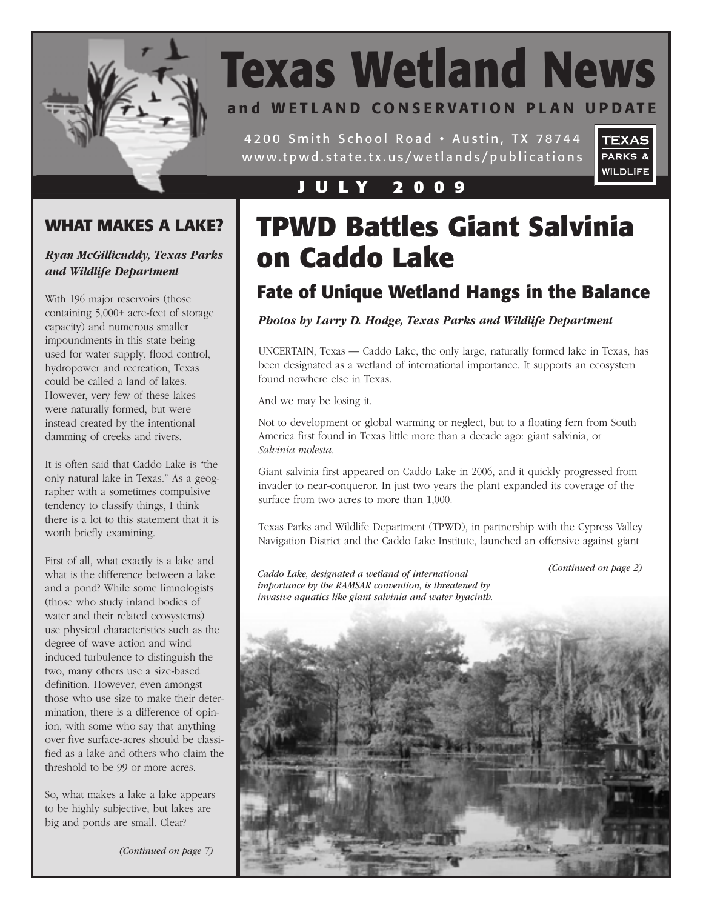

# **Texas Wetland News**

### **and WETLAND CONSERVATION PLAN UPDATE**

4200 Smith School Road • Austin, TX 78744 www.tpwd.state.tx.us/wetlands/publications



#### **J U L Y 2 0 0 9**

### **WHAT MAKES A LAKE?**

#### *Ryan McGillicuddy, Texas Parks and Wildlife Department*

With 196 major reservoirs (those containing 5,000+ acre-feet of storage capacity) and numerous smaller impoundments in this state being used for water supply, flood control, hydropower and recreation, Texas could be called a land of lakes. However, very few of these lakes were naturally formed, but were instead created by the intentional damming of creeks and rivers.

It is often said that Caddo Lake is "the only natural lake in Texas." As a geographer with a sometimes compulsive tendency to classify things, I think there is a lot to this statement that it is worth briefly examining.

First of all, what exactly is a lake and what is the difference between a lake and a pond? While some limnologists (those who study inland bodies of water and their related ecosystems) use physical characteristics such as the degree of wave action and wind induced turbulence to distinguish the two, many others use a size-based definition. However, even amongst those who use size to make their determination, there is a difference of opinion, with some who say that anything over five surface-acres should be classified as a lake and others who claim the threshold to be 99 or more acres.

So, what makes a lake a lake appears to be highly subjective, but lakes are big and ponds are small. Clear?

*(Continued on page 7)*

# **TPWD Battles Giant Salvinia on Caddo Lake**

### **Fate of Unique Wetland Hangs in the Balance**

*Photos by Larry D. Hodge, Texas Parks and Wildlife Department*

UNCERTAIN, Texas — Caddo Lake, the only large, naturally formed lake in Texas, has been designated as a wetland of international importance. It supports an ecosystem found nowhere else in Texas.

And we may be losing it.

Not to development or global warming or neglect, but to a floating fern from South America first found in Texas little more than a decade ago: giant salvinia, or *Salvinia molesta*.

Giant salvinia first appeared on Caddo Lake in 2006, and it quickly progressed from invader to near-conqueror. In just two years the plant expanded its coverage of the surface from two acres to more than 1,000.

Texas Parks and Wildlife Department (TPWD), in partnership with the Cypress Valley Navigation District and the Caddo Lake Institute, launched an offensive against giant

*(Continued on page 2)*

*Caddo Lake, designated a wetland of international importance by the RAMSAR convention, is threatened by invasive aquatics like giant salvinia and water hyacinth.*

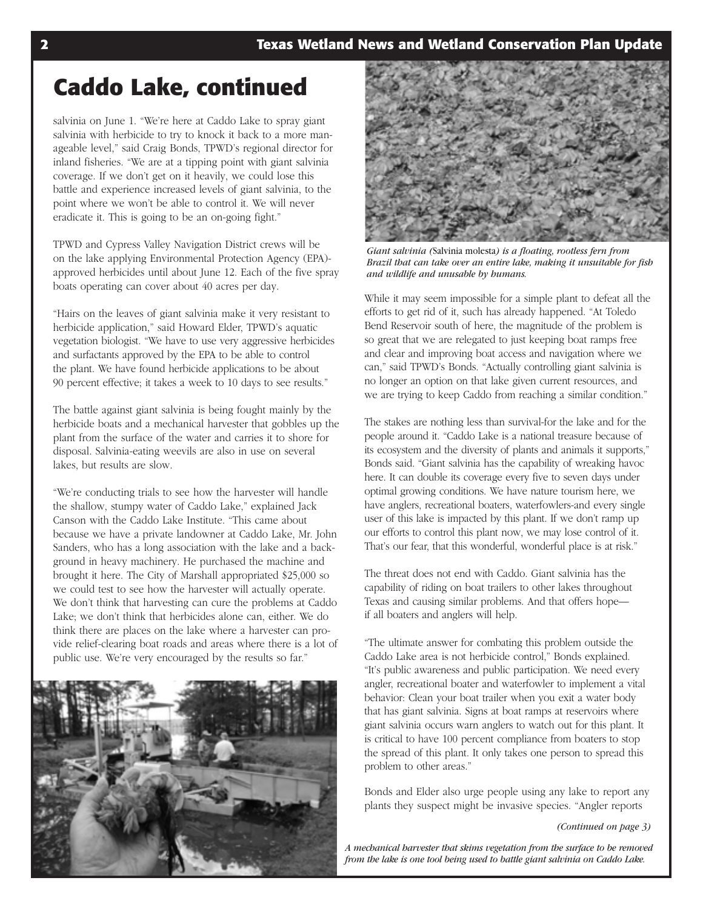# **Caddo Lake, continued**

salvinia on June 1. "We're here at Caddo Lake to spray giant salvinia with herbicide to try to knock it back to a more manageable level," said Craig Bonds, TPWD's regional director for inland fisheries. "We are at a tipping point with giant salvinia coverage. If we don't get on it heavily, we could lose this battle and experience increased levels of giant salvinia, to the point where we won't be able to control it. We will never eradicate it. This is going to be an on-going fight."

TPWD and Cypress Valley Navigation District crews will be on the lake applying Environmental Protection Agency (EPA) approved herbicides until about June 12. Each of the five spray boats operating can cover about 40 acres per day.

"Hairs on the leaves of giant salvinia make it very resistant to herbicide application," said Howard Elder, TPWD's aquatic vegetation biologist. "We have to use very aggressive herbicides and surfactants approved by the EPA to be able to control the plant. We have found herbicide applications to be about 90 percent effective; it takes a week to 10 days to see results."

The battle against giant salvinia is being fought mainly by the herbicide boats and a mechanical harvester that gobbles up the plant from the surface of the water and carries it to shore for disposal. Salvinia-eating weevils are also in use on several lakes, but results are slow.

"We're conducting trials to see how the harvester will handle the shallow, stumpy water of Caddo Lake," explained Jack Canson with the Caddo Lake Institute. "This came about because we have a private landowner at Caddo Lake, Mr. John Sanders, who has a long association with the lake and a background in heavy machinery. He purchased the machine and brought it here. The City of Marshall appropriated \$25,000 so we could test to see how the harvester will actually operate. We don't think that harvesting can cure the problems at Caddo Lake; we don't think that herbicides alone can, either. We do think there are places on the lake where a harvester can provide relief-clearing boat roads and areas where there is a lot of public use. We're very encouraged by the results so far."





*Giant salvinia (*Salvinia molesta*) is a floating, rootless fern from Brazil that can take over an entire lake, making it unsuitable for fish and wildlife and unusable by humans.*

While it may seem impossible for a simple plant to defeat all the efforts to get rid of it, such has already happened. "At Toledo Bend Reservoir south of here, the magnitude of the problem is so great that we are relegated to just keeping boat ramps free and clear and improving boat access and navigation where we can," said TPWD's Bonds. "Actually controlling giant salvinia is no longer an option on that lake given current resources, and we are trying to keep Caddo from reaching a similar condition."

The stakes are nothing less than survival-for the lake and for the people around it. "Caddo Lake is a national treasure because of its ecosystem and the diversity of plants and animals it supports," Bonds said. "Giant salvinia has the capability of wreaking havoc here. It can double its coverage every five to seven days under optimal growing conditions. We have nature tourism here, we have anglers, recreational boaters, waterfowlers-and every single user of this lake is impacted by this plant. If we don't ramp up our efforts to control this plant now, we may lose control of it. That's our fear, that this wonderful, wonderful place is at risk."

The threat does not end with Caddo. Giant salvinia has the capability of riding on boat trailers to other lakes throughout Texas and causing similar problems. And that offers hope if all boaters and anglers will help.

"The ultimate answer for combating this problem outside the Caddo Lake area is not herbicide control," Bonds explained. "It's public awareness and public participation. We need every angler, recreational boater and waterfowler to implement a vital behavior: Clean your boat trailer when you exit a water body that has giant salvinia. Signs at boat ramps at reservoirs where giant salvinia occurs warn anglers to watch out for this plant. It is critical to have 100 percent compliance from boaters to stop the spread of this plant. It only takes one person to spread this problem to other areas."

Bonds and Elder also urge people using any lake to report any plants they suspect might be invasive species. "Angler reports

*(Continued on page 3)*

*A mechanical harvester that skims vegetation from the surface to be removed from the lake is one tool being used to battle giant salvinia on Caddo Lake.*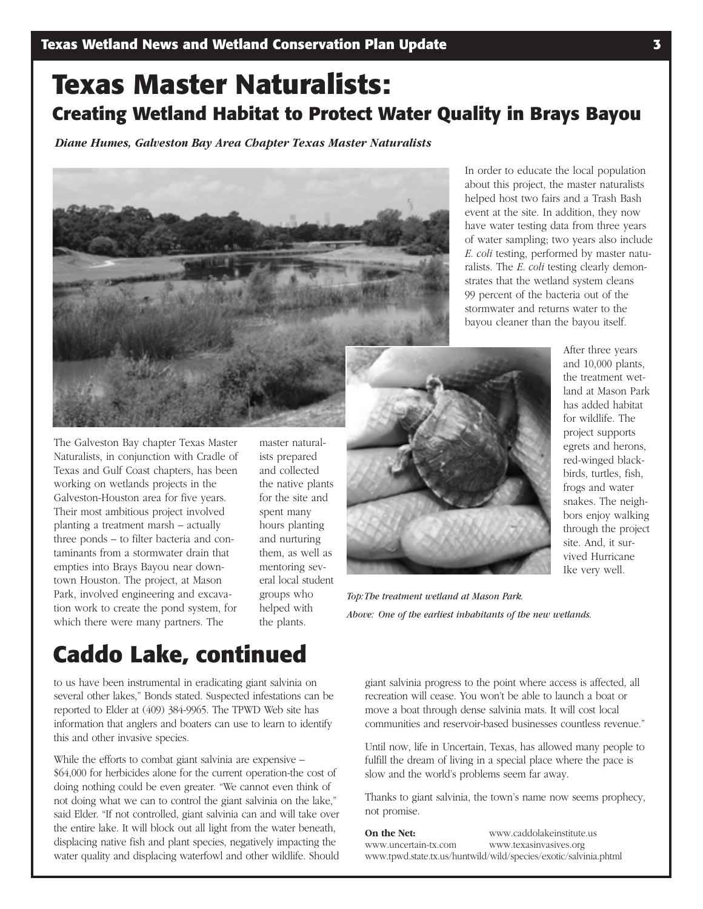# **Texas Master Naturalists: Creating Wetland Habitat to Protect Water Quality in Brays Bayou**

*Diane Humes, Galveston Bay Area Chapter Texas Master Naturalists*



The Galveston Bay chapter Texas Master Naturalists, in conjunction with Cradle of Texas and Gulf Coast chapters, has been working on wetlands projects in the Galveston-Houston area for five years. Their most ambitious project involved planting a treatment marsh – actually three ponds – to filter bacteria and contaminants from a stormwater drain that empties into Brays Bayou near downtown Houston. The project, at Mason Park, involved engineering and excavation work to create the pond system, for which there were many partners. The

master naturalists prepared and collected the native plants for the site and spent many hours planting and nurturing them, as well as mentoring several local student groups who helped with the plants.

In order to educate the local population about this project, the master naturalists helped host two fairs and a Trash Bash event at the site. In addition, they now have water testing data from three years of water sampling; two years also include *E. coli* testing, performed by master naturalists. The *E. coli* testing clearly demonstrates that the wetland system cleans 99 percent of the bacteria out of the stormwater and returns water to the bayou cleaner than the bayou itself.



After three years and 10,000 plants, the treatment wetland at Mason Park has added habitat for wildlife. The project supports egrets and herons, red-winged blackbirds, turtles, fish, frogs and water snakes. The neighbors enjoy walking through the project site. And, it survived Hurricane Ike very well.

*Top:The treatment wetland at Mason Park. Above: One of the earliest inhabitants of the new wetlands.*

### **Caddo Lake, continued**

to us have been instrumental in eradicating giant salvinia on several other lakes," Bonds stated. Suspected infestations can be reported to Elder at (409) 384-9965. The TPWD Web site has information that anglers and boaters can use to learn to identify this and other invasive species.

While the efforts to combat giant salvinia are expensive – \$64,000 for herbicides alone for the current operation-the cost of doing nothing could be even greater. "We cannot even think of not doing what we can to control the giant salvinia on the lake," said Elder. "If not controlled, giant salvinia can and will take over the entire lake. It will block out all light from the water beneath, displacing native fish and plant species, negatively impacting the water quality and displacing waterfowl and other wildlife. Should

giant salvinia progress to the point where access is affected, all recreation will cease. You won't be able to launch a boat or move a boat through dense salvinia mats. It will cost local communities and reservoir-based businesses countless revenue."

Until now, life in Uncertain, Texas, has allowed many people to fulfill the dream of living in a special place where the pace is slow and the world's problems seem far away.

Thanks to giant salvinia, the town's name now seems prophecy, not promise.

**On the Net:** www.caddolakeinstitute.us www.uncertain-tx.com www.texasinvasives.org www.tpwd.state.tx.us/huntwild/wild/species/exotic/salvinia.phtml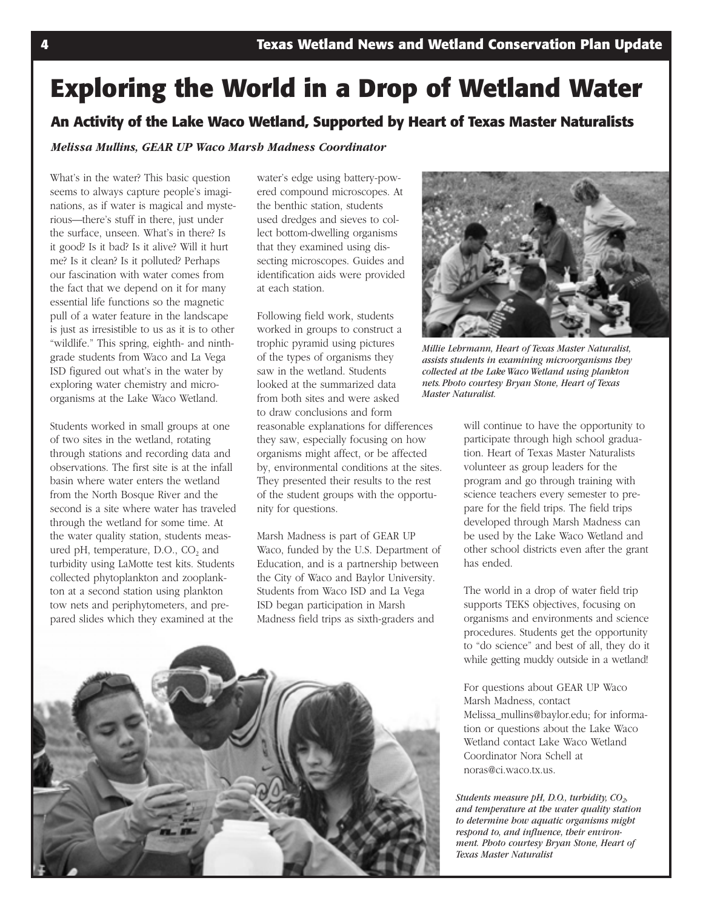# **Exploring the World in a Drop of Wetland Water**

#### **An Activity of the Lake Waco Wetland, Supported by Heart of Texas Master Naturalists**

*Melissa Mullins, GEAR UP Waco Marsh Madness Coordinator*

What's in the water? This basic question seems to always capture people's imaginations, as if water is magical and mysterious—there's stuff in there, just under the surface, unseen. What's in there? Is it good? Is it bad? Is it alive? Will it hurt me? Is it clean? Is it polluted? Perhaps our fascination with water comes from the fact that we depend on it for many essential life functions so the magnetic pull of a water feature in the landscape is just as irresistible to us as it is to other "wildlife." This spring, eighth- and ninthgrade students from Waco and La Vega ISD figured out what's in the water by exploring water chemistry and microorganisms at the Lake Waco Wetland.

Students worked in small groups at one of two sites in the wetland, rotating through stations and recording data and observations. The first site is at the infall basin where water enters the wetland from the North Bosque River and the second is a site where water has traveled through the wetland for some time. At the water quality station, students measured pH, temperature, D.O., CO<sub>2</sub> and turbidity using LaMotte test kits. Students collected phytoplankton and zooplankton at a second station using plankton tow nets and periphytometers, and prepared slides which they examined at the

water's edge using battery-powered compound microscopes. At the benthic station, students used dredges and sieves to collect bottom-dwelling organisms that they examined using dissecting microscopes. Guides and identification aids were provided at each station.

Following field work, students worked in groups to construct a trophic pyramid using pictures of the types of organisms they saw in the wetland. Students looked at the summarized data from both sites and were asked to draw conclusions and form reasonable explanations for differences they saw, especially focusing on how organisms might affect, or be affected by, environmental conditions at the sites. They presented their results to the rest of the student groups with the opportunity for questions.

Marsh Madness is part of GEAR UP Waco, funded by the U.S. Department of Education, and is a partnership between the City of Waco and Baylor University. Students from Waco ISD and La Vega ISD began participation in Marsh Madness field trips as sixth-graders and





*Millie Lehrmann, Heart of Texas Master Naturalist, assists students in examining microorganisms they collected at the Lake Waco Wetland using plankton nets. Photo courtesy Bryan Stone, Heart of Texas Master Naturalist.*

will continue to have the opportunity to participate through high school graduation. Heart of Texas Master Naturalists volunteer as group leaders for the program and go through training with science teachers every semester to prepare for the field trips. The field trips developed through Marsh Madness can be used by the Lake Waco Wetland and other school districts even after the grant has ended.

The world in a drop of water field trip supports TEKS objectives, focusing on organisms and environments and science procedures. Students get the opportunity to "do science" and best of all, they do it while getting muddy outside in a wetland!

For questions about GEAR UP Waco Marsh Madness, contact Melissa\_mullins@baylor.edu; for information or questions about the Lake Waco Wetland contact Lake Waco Wetland Coordinator Nora Schell at noras@ci.waco.tx.us.

*Students measure pH, D.O., turbidity, CO<sub>2</sub>, and temperature at the water quality station to determine how aquatic organisms might respond to, and influence, their environment. Photo courtesy Bryan Stone, Heart of Texas Master Naturalist*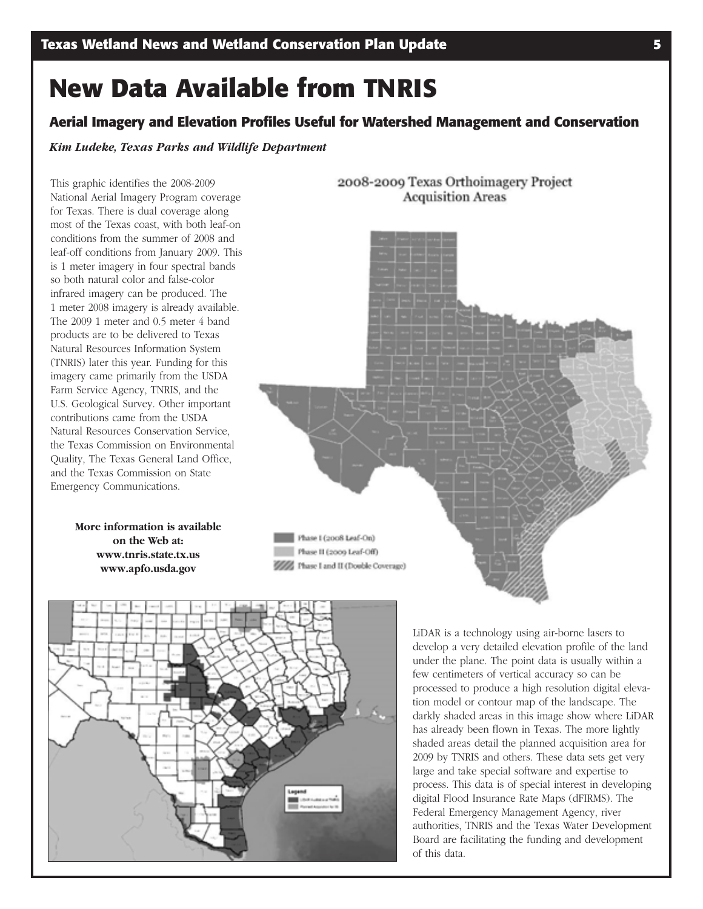# **New Data Available from TNRIS**

#### **Aerial Imagery and Elevation Profiles Useful for Watershed Management and Conservation**

*Kim Ludeke, Texas Parks and Wildlife Department*

This graphic identifies the 2008-2009 National Aerial Imagery Program coverage for Texas. There is dual coverage along most of the Texas coast, with both leaf-on conditions from the summer of 2008 and leaf-off conditions from January 2009. This is 1 meter imagery in four spectral bands so both natural color and false-color infrared imagery can be produced. The 1 meter 2008 imagery is already available. The 2009 1 meter and 0.5 meter 4 band products are to be delivered to Texas Natural Resources Information System (TNRIS) later this year. Funding for this imagery came primarily from the USDA Farm Service Agency, TNRIS, and the U.S. Geological Survey. Other important contributions came from the USDA Natural Resources Conservation Service, the Texas Commission on Environmental Quality, The Texas General Land Office, and the Texas Commission on State Emergency Communications.

> **More information is available on the Web at: www.tnris.state.tx.us www.apfo.usda.gov**





LiDAR is a technology using air-borne lasers to develop a very detailed elevation profile of the land under the plane. The point data is usually within a few centimeters of vertical accuracy so can be processed to produce a high resolution digital elevation model or contour map of the landscape. The darkly shaded areas in this image show where LiDAR has already been flown in Texas. The more lightly shaded areas detail the planned acquisition area for 2009 by TNRIS and others. These data sets get very large and take special software and expertise to process. This data is of special interest in developing digital Flood Insurance Rate Maps (dFIRMS). The Federal Emergency Management Agency, river authorities, TNRIS and the Texas Water Development Board are facilitating the funding and development of this data.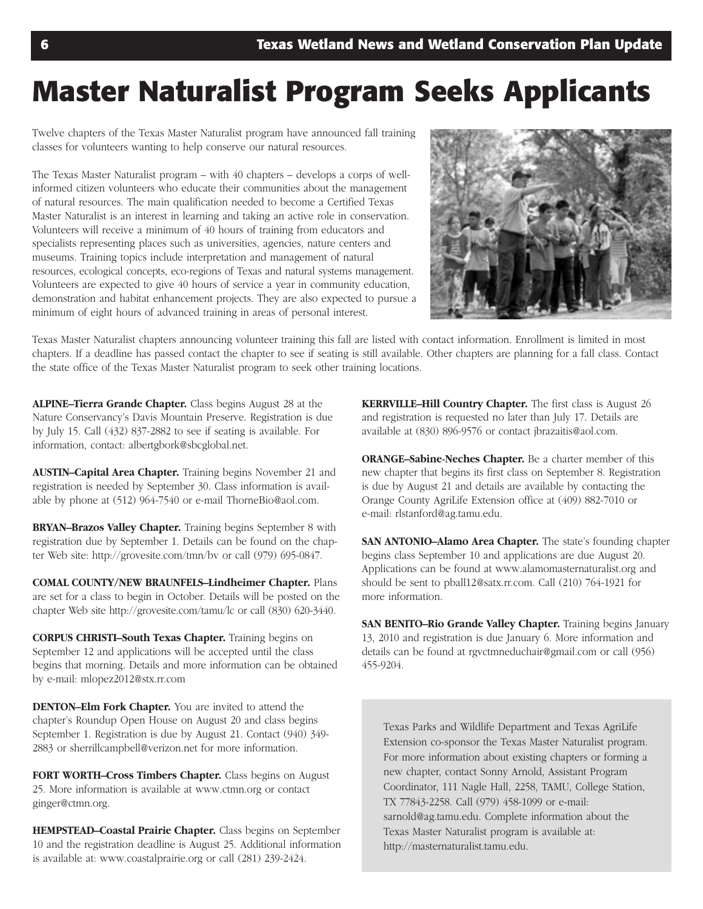# **Master Naturalist Program Seeks Applicants**

Twelve chapters of the Texas Master Naturalist program have announced fall training classes for volunteers wanting to help conserve our natural resources.

The Texas Master Naturalist program – with 40 chapters – develops a corps of wellinformed citizen volunteers who educate their communities about the management of natural resources. The main qualification needed to become a Certified Texas Master Naturalist is an interest in learning and taking an active role in conservation. Volunteers will receive a minimum of 40 hours of training from educators and specialists representing places such as universities, agencies, nature centers and museums. Training topics include interpretation and management of natural resources, ecological concepts, eco-regions of Texas and natural systems management. Volunteers are expected to give 40 hours of service a year in community education, demonstration and habitat enhancement projects. They are also expected to pursue a minimum of eight hours of advanced training in areas of personal interest.



Texas Master Naturalist chapters announcing volunteer training this fall are listed with contact information. Enrollment is limited in most chapters. If a deadline has passed contact the chapter to see if seating is still available. Other chapters are planning for a fall class. Contact the state office of the Texas Master Naturalist program to seek other training locations.

**ALPINE–Tierra Grande Chapter.** Class begins August 28 at the Nature Conservancy's Davis Mountain Preserve. Registration is due by July 15. Call (432) 837-2882 to see if seating is available. For information, contact: albertgbork@sbcglobal.net.

**AUSTIN–Capital Area Chapter.** Training begins November 21 and registration is needed by September 30. Class information is available by phone at (512) 964-7540 or e-mail ThorneBio@aol.com.

**BRYAN–Brazos Valley Chapter.** Training begins September 8 with registration due by September 1. Details can be found on the chapter Web site: http://grovesite.com/tmn/bv or call (979) 695-0847.

**COMAL COUNTY/NEW BRAUNFELS–Lindheimer Chapter.** Plans are set for a class to begin in October. Details will be posted on the chapter Web site http://grovesite.com/tamu/lc or call (830) 620-3440.

**CORPUS CHRISTI–South Texas Chapter.** Training begins on September 12 and applications will be accepted until the class begins that morning. Details and more information can be obtained by e-mail: mlopez2012@stx.rr.com

**DENTON–Elm Fork Chapter.** You are invited to attend the chapter's Roundup Open House on August 20 and class begins September 1. Registration is due by August 21. Contact (940) 349- 2883 or sherrillcampbell@verizon.net for more information.

**FORT WORTH–Cross Timbers Chapter.** Class begins on August 25. More information is available at www.ctmn.org or contact ginger@ctmn.org.

**HEMPSTEAD–Coastal Prairie Chapter.** Class begins on September 10 and the registration deadline is August 25. Additional information is available at: www.coastalprairie.org or call (281) 239-2424.

**KERRVILLE–Hill Country Chapter.** The first class is August 26 and registration is requested no later than July 17. Details are available at (830) 896-9576 or contact jbrazaitis@aol.com.

**ORANGE–Sabine-Neches Chapter.** Be a charter member of this new chapter that begins its first class on September 8. Registration is due by August 21 and details are available by contacting the Orange County AgriLife Extension office at (409) 882-7010 or e-mail: rlstanford@ag.tamu.edu.

**SAN ANTONIO–Alamo Area Chapter.** The state's founding chapter begins class September 10 and applications are due August 20. Applications can be found at www.alamomasternaturalist.org and should be sent to pball12@satx.rr.com. Call (210) 764-1921 for more information.

**SAN BENITO-Rio Grande Valley Chapter.** Training begins January 13, 2010 and registration is due January 6. More information and details can be found at rgvctmneduchair@gmail.com or call (956) 455-9204.

Texas Parks and Wildlife Department and Texas AgriLife Extension co-sponsor the Texas Master Naturalist program. For more information about existing chapters or forming a new chapter, contact Sonny Arnold, Assistant Program Coordinator, 111 Nagle Hall, 2258, TAMU, College Station, TX 77843-2258. Call (979) 458-1099 or e-mail: sarnold@ag.tamu.edu. Complete information about the Texas Master Naturalist program is available at: http://masternaturalist.tamu.edu.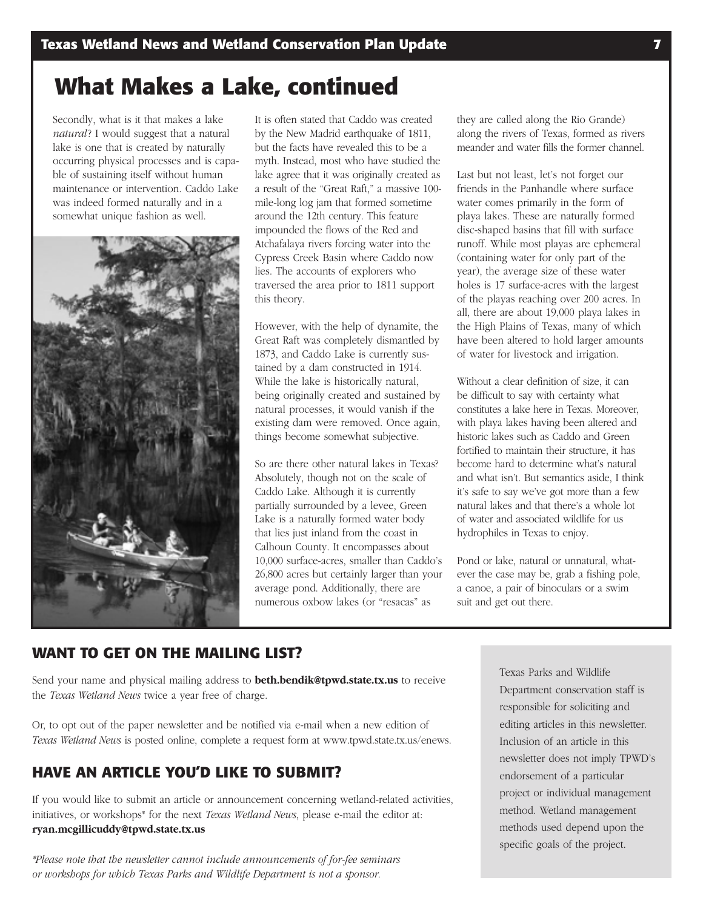## **What Makes a Lake, continued**

Secondly, what is it that makes a lake *natural*? I would suggest that a natural lake is one that is created by naturally occurring physical processes and is capable of sustaining itself without human maintenance or intervention. Caddo Lake was indeed formed naturally and in a somewhat unique fashion as well.



It is often stated that Caddo was created by the New Madrid earthquake of 1811, but the facts have revealed this to be a myth. Instead, most who have studied the lake agree that it was originally created as a result of the "Great Raft," a massive 100 mile-long log jam that formed sometime around the 12th century. This feature impounded the flows of the Red and Atchafalaya rivers forcing water into the Cypress Creek Basin where Caddo now lies. The accounts of explorers who traversed the area prior to 1811 support this theory.

However, with the help of dynamite, the Great Raft was completely dismantled by 1873, and Caddo Lake is currently sustained by a dam constructed in 1914. While the lake is historically natural, being originally created and sustained by natural processes, it would vanish if the existing dam were removed. Once again, things become somewhat subjective.

So are there other natural lakes in Texas? Absolutely, though not on the scale of Caddo Lake. Although it is currently partially surrounded by a levee, Green Lake is a naturally formed water body that lies just inland from the coast in Calhoun County. It encompasses about 10,000 surface-acres, smaller than Caddo's 26,800 acres but certainly larger than your average pond. Additionally, there are numerous oxbow lakes (or "resacas" as

they are called along the Rio Grande) along the rivers of Texas, formed as rivers meander and water fills the former channel.

Last but not least, let's not forget our friends in the Panhandle where surface water comes primarily in the form of playa lakes. These are naturally formed disc-shaped basins that fill with surface runoff. While most playas are ephemeral (containing water for only part of the year), the average size of these water holes is 17 surface-acres with the largest of the playas reaching over 200 acres. In all, there are about 19,000 playa lakes in the High Plains of Texas, many of which have been altered to hold larger amounts of water for livestock and irrigation.

Without a clear definition of size, it can be difficult to say with certainty what constitutes a lake here in Texas. Moreover, with playa lakes having been altered and historic lakes such as Caddo and Green fortified to maintain their structure, it has become hard to determine what's natural and what isn't. But semantics aside, I think it's safe to say we've got more than a few natural lakes and that there's a whole lot of water and associated wildlife for us hydrophiles in Texas to enjoy.

Pond or lake, natural or unnatural, whatever the case may be, grab a fishing pole, a canoe, a pair of binoculars or a swim suit and get out there.

#### **WANT TO GET ON THE MAILING LIST?**

Send your name and physical mailing address to **beth.bendik@tpwd.state.tx.us** to receive the *Texas Wetland News* twice a year free of charge.

Or, to opt out of the paper newsletter and be notified via e-mail when a new edition of *Texas Wetland News* is posted online, complete a request form at www.tpwd.state.tx.us/enews.

#### **HAVE AN ARTICLE YOU'D LIKE TO SUBMIT?**

If you would like to submit an article or announcement concerning wetland-related activities, initiatives, or workshops\* for the next *Texas Wetland News*, please e-mail the editor at: **ryan.mcgillicuddy@tpwd.state.tx.us**

*\*Please note that the newsletter cannot include announcements of for-fee seminars or workshops for which Texas Parks and Wildlife Department is not a sponsor.*

Texas Parks and Wildlife Department conservation staff is responsible for soliciting and editing articles in this newsletter. Inclusion of an article in this newsletter does not imply TPWD's endorsement of a particular project or individual management method. Wetland management methods used depend upon the specific goals of the project.